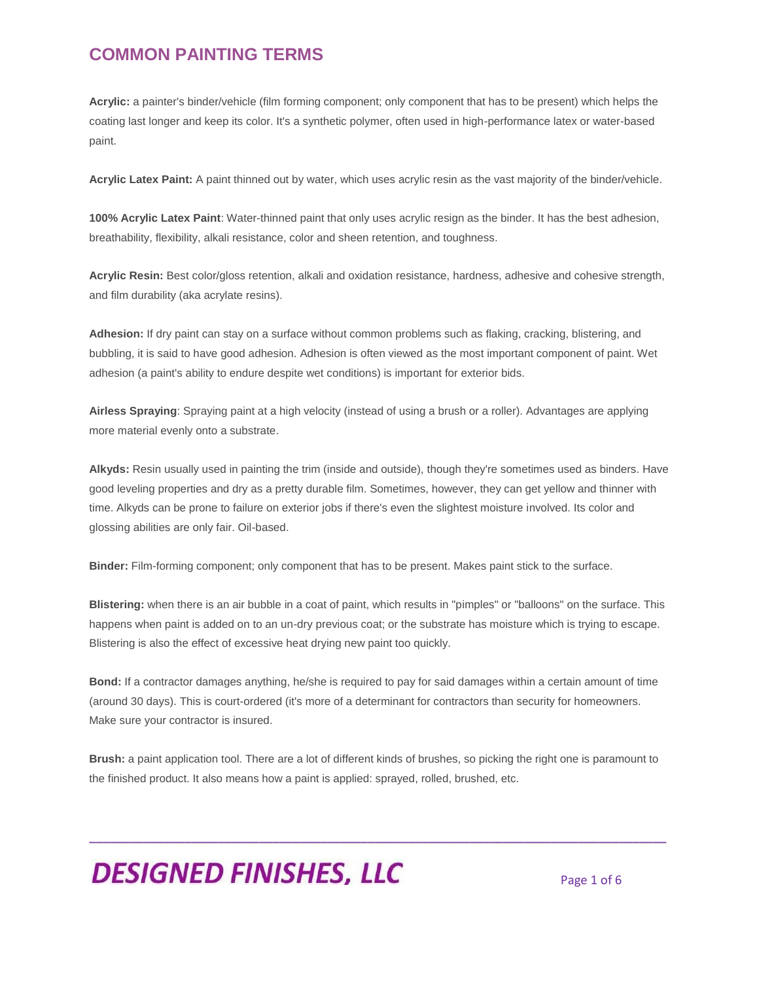**Acrylic:** a painter's binder/vehicle (film forming component; only component that has to be present) which helps the coating last longer and keep its color. It's a synthetic polymer, often used in high-performance latex or water-based paint.

**Acrylic Latex Paint:** A paint thinned out by water, which uses acrylic resin as the vast majority of the binder/vehicle.

**100% Acrylic Latex Paint**: Water-thinned paint that only uses acrylic resign as the binder. It has the best adhesion, breathability, flexibility, alkali resistance, color and sheen retention, and toughness.

**Acrylic Resin:** Best color/gloss retention, alkali and oxidation resistance, hardness, adhesive and cohesive strength, and film durability (aka acrylate resins).

**Adhesion:** If dry paint can stay on a surface without common problems such as flaking, cracking, blistering, and bubbling, it is said to have good adhesion. Adhesion is often viewed as the most important component of paint. Wet adhesion (a paint's ability to endure despite wet conditions) is important for exterior bids.

**Airless Spraying**: Spraying paint at a high velocity (instead of using a brush or a roller). Advantages are applying more material evenly onto a substrate.

**Alkyds:** Resin usually used in painting the trim (inside and outside), though they're sometimes used as binders. Have good leveling properties and dry as a pretty durable film. Sometimes, however, they can get yellow and thinner with time. Alkyds can be prone to failure on exterior jobs if there's even the slightest moisture involved. Its color and glossing abilities are only fair. Oil-based.

**Binder:** Film-forming component; only component that has to be present. Makes paint stick to the surface.

**Blistering:** when there is an air bubble in a coat of paint, which results in "pimples" or "balloons" on the surface. This happens when paint is added on to an un-dry previous coat; or the substrate has moisture which is trying to escape. Blistering is also the effect of excessive heat drying new paint too quickly.

**Bond:** If a contractor damages anything, he/she is required to pay for said damages within a certain amount of time (around 30 days). This is court-ordered (it's more of a determinant for contractors than security for homeowners. Make sure your contractor is insured.

**Brush:** a paint application tool. There are a lot of different kinds of brushes, so picking the right one is paramount to the finished product. It also means how a paint is applied: sprayed, rolled, brushed, etc.

\_\_\_\_\_\_\_\_\_\_\_\_\_\_\_\_\_\_\_\_\_\_\_\_\_\_\_\_\_\_\_\_\_\_\_\_\_\_\_\_\_\_\_\_\_\_\_\_\_\_\_\_\_\_\_\_\_\_\_\_\_\_\_\_\_\_\_\_\_\_\_\_\_\_\_\_\_\_\_\_\_\_\_\_\_

# **DESIGNED FINISHES, LLC** Page 1 of 6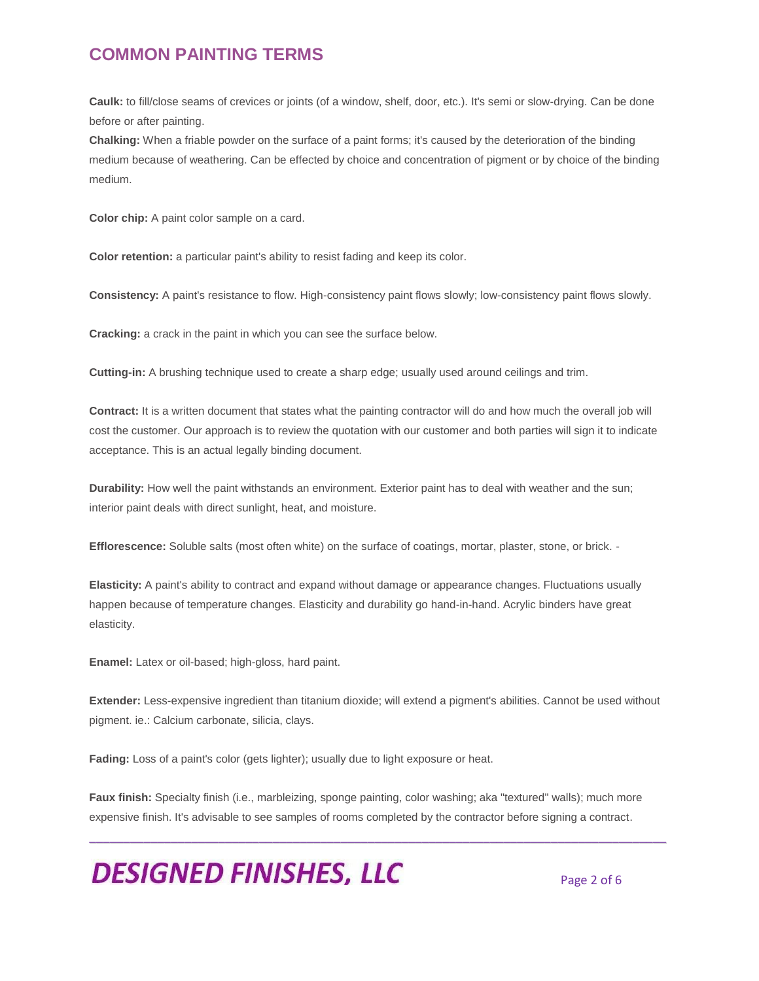**Caulk:** to fill/close seams of crevices or joints (of a window, shelf, door, etc.). It's semi or slow-drying. Can be done before or after painting.

**Chalking:** When a friable powder on the surface of a paint forms; it's caused by the deterioration of the binding medium because of weathering. Can be effected by choice and concentration of pigment or by choice of the binding medium.

**Color chip:** A paint color sample on a card.

**Color retention:** a particular paint's ability to resist fading and keep its color.

**Consistency:** A paint's resistance to flow. High-consistency paint flows slowly; low-consistency paint flows slowly.

**Cracking:** a crack in the paint in which you can see the surface below.

**Cutting-in:** A brushing technique used to create a sharp edge; usually used around ceilings and trim.

**Contract:** It is a written document that states what the painting contractor will do and how much the overall job will cost the customer. Our approach is to review the quotation with our customer and both parties will sign it to indicate acceptance. This is an actual legally binding document.

**Durability:** How well the paint withstands an environment. Exterior paint has to deal with weather and the sun; interior paint deals with direct sunlight, heat, and moisture.

**Efflorescence:** Soluble salts (most often white) on the surface of coatings, mortar, plaster, stone, or brick. -

**Elasticity:** A paint's ability to contract and expand without damage or appearance changes. Fluctuations usually happen because of temperature changes. Elasticity and durability go hand-in-hand. Acrylic binders have great elasticity.

**Enamel:** Latex or oil-based; high-gloss, hard paint.

**Extender:** Less-expensive ingredient than titanium dioxide; will extend a pigment's abilities. Cannot be used without pigment. ie.: Calcium carbonate, silicia, clays.

**Fading:** Loss of a paint's color (gets lighter); usually due to light exposure or heat.

**Faux finish:** Specialty finish (i.e., marbleizing, sponge painting, color washing; aka "textured" walls); much more expensive finish. It's advisable to see samples of rooms completed by the contractor before signing a contract.

\_\_\_\_\_\_\_\_\_\_\_\_\_\_\_\_\_\_\_\_\_\_\_\_\_\_\_\_\_\_\_\_\_\_\_\_\_\_\_\_\_\_\_\_\_\_\_\_\_\_\_\_\_\_\_\_\_\_\_\_\_\_\_\_\_\_\_\_\_\_\_\_\_\_\_\_\_\_\_\_\_\_\_\_\_

**DESIGNED FINISHES, LLC** 

Page 2 of 6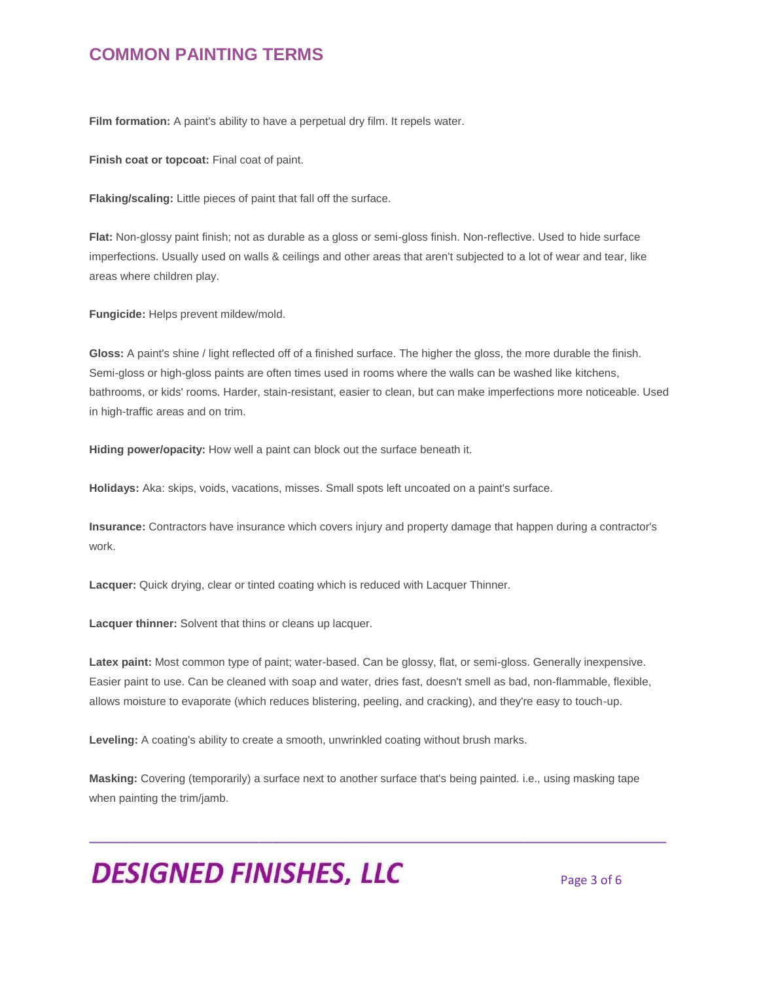Film formation: A paint's ability to have a perpetual dry film. It repels water.

**Finish coat or topcoat:** Final coat of paint.

**Flaking/scaling:** Little pieces of paint that fall off the surface.

**Flat:** Non-glossy paint finish; not as durable as a gloss or semi-gloss finish. Non-reflective. Used to hide surface imperfections. Usually used on walls & ceilings and other areas that aren't subjected to a lot of wear and tear, like areas where children play.

**Fungicide:** Helps prevent mildew/mold.

**Gloss:** A paint's shine / light reflected off of a finished surface. The higher the gloss, the more durable the finish. Semi-gloss or high-gloss paints are often times used in rooms where the walls can be washed like kitchens, bathrooms, or kids' rooms. Harder, stain-resistant, easier to clean, but can make imperfections more noticeable. Used in high-traffic areas and on trim.

**Hiding power/opacity:** How well a paint can block out the surface beneath it.

**Holidays:** Aka: skips, voids, vacations, misses. Small spots left uncoated on a paint's surface.

**Insurance:** Contractors have insurance which covers injury and property damage that happen during a contractor's work.

**Lacquer:** Quick drying, clear or tinted coating which is reduced with Lacquer Thinner.

**Lacquer thinner:** Solvent that thins or cleans up lacquer.

**Latex paint:** Most common type of paint; water-based. Can be glossy, flat, or semi-gloss. Generally inexpensive. Easier paint to use. Can be cleaned with soap and water, dries fast, doesn't smell as bad, non-flammable, flexible, allows moisture to evaporate (which reduces blistering, peeling, and cracking), and they're easy to touch-up.

**Leveling:** A coating's ability to create a smooth, unwrinkled coating without brush marks.

**Masking:** Covering (temporarily) a surface next to another surface that's being painted. i.e., using masking tape when painting the trim/jamb.

\_\_\_\_\_\_\_\_\_\_\_\_\_\_\_\_\_\_\_\_\_\_\_\_\_\_\_\_\_\_\_\_\_\_\_\_\_\_\_\_\_\_\_\_\_\_\_\_\_\_\_\_\_\_\_\_\_\_\_\_\_\_\_\_\_\_\_\_\_\_\_\_\_\_\_\_\_\_\_\_\_\_\_\_\_

## **DESIGNED FINISHES, LLC** Page 3 of 6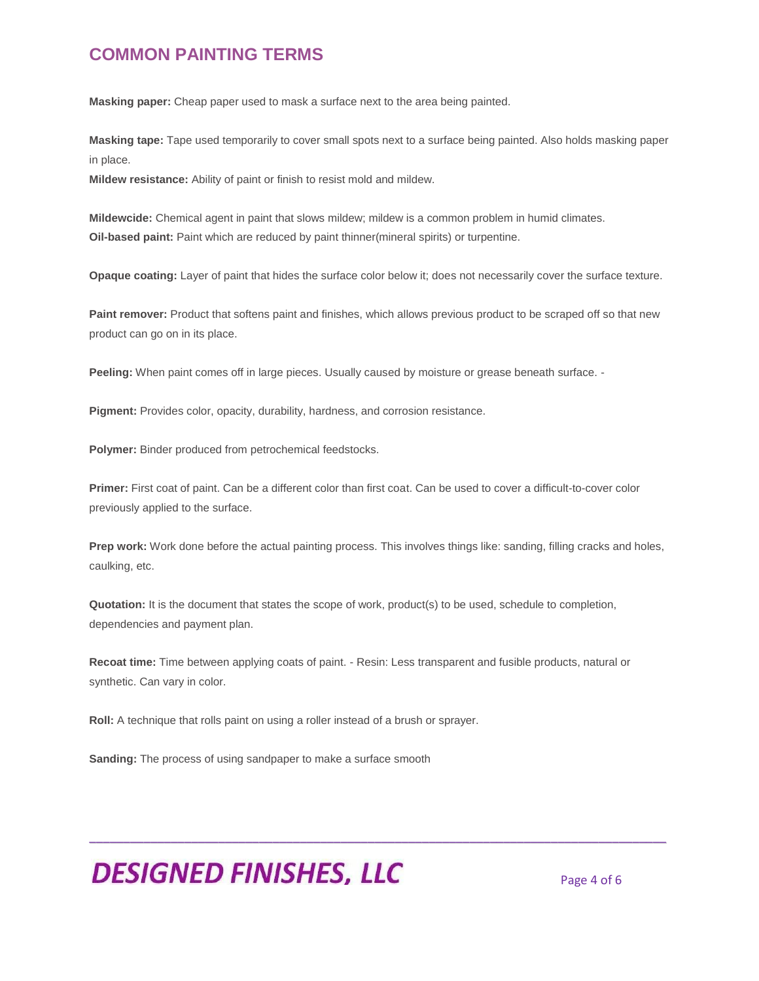**Masking paper:** Cheap paper used to mask a surface next to the area being painted.

**Masking tape:** Tape used temporarily to cover small spots next to a surface being painted. Also holds masking paper in place.

**Mildew resistance:** Ability of paint or finish to resist mold and mildew.

**Mildewcide:** Chemical agent in paint that slows mildew; mildew is a common problem in humid climates. **Oil-based paint:** Paint which are reduced by paint thinner(mineral spirits) or turpentine.

**Opaque coating:** Layer of paint that hides the surface color below it; does not necessarily cover the surface texture.

**Paint remover:** Product that softens paint and finishes, which allows previous product to be scraped off so that new product can go on in its place.

**Peeling:** When paint comes off in large pieces. Usually caused by moisture or grease beneath surface. -

**Pigment:** Provides color, opacity, durability, hardness, and corrosion resistance.

**Polymer:** Binder produced from petrochemical feedstocks.

**Primer:** First coat of paint. Can be a different color than first coat. Can be used to cover a difficult-to-cover color previously applied to the surface.

**Prep work:** Work done before the actual painting process. This involves things like: sanding, filling cracks and holes, caulking, etc.

**Quotation:** It is the document that states the scope of work, product(s) to be used, schedule to completion, dependencies and payment plan.

**Recoat time:** Time between applying coats of paint. - Resin: Less transparent and fusible products, natural or synthetic. Can vary in color.

\_\_\_\_\_\_\_\_\_\_\_\_\_\_\_\_\_\_\_\_\_\_\_\_\_\_\_\_\_\_\_\_\_\_\_\_\_\_\_\_\_\_\_\_\_\_\_\_\_\_\_\_\_\_\_\_\_\_\_\_\_\_\_\_\_\_\_\_\_\_\_\_\_\_\_\_\_\_\_\_\_\_\_\_\_

**Roll:** A technique that rolls paint on using a roller instead of a brush or sprayer.

**Sanding:** The process of using sandpaper to make a surface smooth

**DESIGNED FINISHES, LLC** Page 4 of 6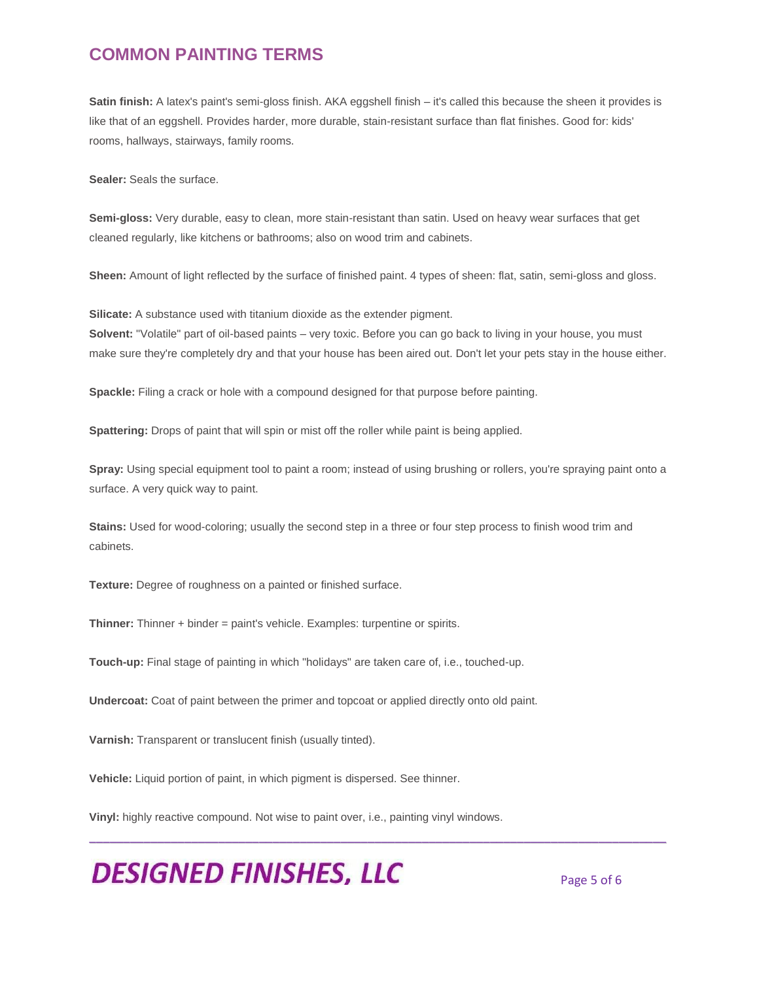**Satin finish:** A latex's paint's semi-gloss finish. AKA eggshell finish – it's called this because the sheen it provides is like that of an eggshell. Provides harder, more durable, stain-resistant surface than flat finishes. Good for: kids' rooms, hallways, stairways, family rooms.

**Sealer:** Seals the surface.

**Semi-gloss:** Very durable, easy to clean, more stain-resistant than satin. Used on heavy wear surfaces that get cleaned regularly, like kitchens or bathrooms; also on wood trim and cabinets.

**Sheen:** Amount of light reflected by the surface of finished paint. 4 types of sheen: flat, satin, semi-gloss and gloss.

**Silicate:** A substance used with titanium dioxide as the extender pigment. **Solvent:** "Volatile" part of oil-based paints – very toxic. Before you can go back to living in your house, you must make sure they're completely dry and that your house has been aired out. Don't let your pets stay in the house either.

**Spackle:** Filing a crack or hole with a compound designed for that purpose before painting.

**Spattering:** Drops of paint that will spin or mist off the roller while paint is being applied.

**Spray:** Using special equipment tool to paint a room; instead of using brushing or rollers, you're spraying paint onto a surface. A very quick way to paint.

\_\_\_\_\_\_\_\_\_\_\_\_\_\_\_\_\_\_\_\_\_\_\_\_\_\_\_\_\_\_\_\_\_\_\_\_\_\_\_\_\_\_\_\_\_\_\_\_\_\_\_\_\_\_\_\_\_\_\_\_\_\_\_\_\_\_\_\_\_\_\_\_\_\_\_\_\_\_\_\_\_\_\_\_\_

**Stains:** Used for wood-coloring; usually the second step in a three or four step process to finish wood trim and cabinets.

**Texture:** Degree of roughness on a painted or finished surface.

**Thinner:** Thinner + binder = paint's vehicle. Examples: turpentine or spirits.

**Touch-up:** Final stage of painting in which "holidays" are taken care of, i.e., touched-up.

**Undercoat:** Coat of paint between the primer and topcoat or applied directly onto old paint.

**Varnish:** Transparent or translucent finish (usually tinted).

**Vehicle:** Liquid portion of paint, in which pigment is dispersed. See thinner.

**Vinyl:** highly reactive compound. Not wise to paint over, i.e., painting vinyl windows.

**DESIGNED FINISHES, LLC**